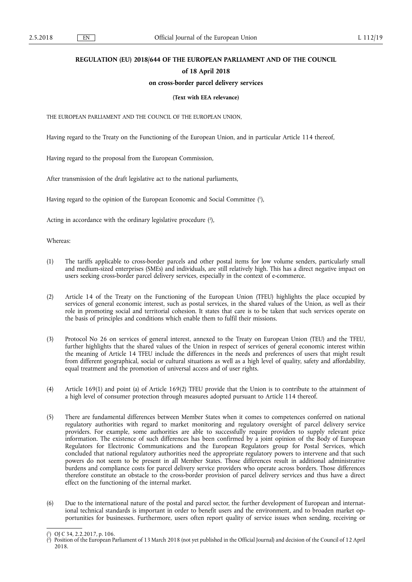# **REGULATION (EU) 2018/644 OF THE EUROPEAN PARLIAMENT AND OF THE COUNCIL**

# **of 18 April 2018**

# **on cross-border parcel delivery services**

### **(Text with EEA relevance)**

THE EUROPEAN PARLIAMENT AND THE COUNCIL OF THE EUROPEAN UNION,

Having regard to the Treaty on the Functioning of the European Union, and in particular Article 114 thereof,

Having regard to the proposal from the European Commission,

After transmission of the draft legislative act to the national parliaments,

Having regard to the opinion of the European Economic and Social Committee ( 1 ),

Acting in accordance with the ordinary legislative procedure (2),

Whereas:

- (1) The tariffs applicable to cross-border parcels and other postal items for low volume senders, particularly small and medium-sized enterprises (SMEs) and individuals, are still relatively high. This has a direct negative impact on users seeking cross-border parcel delivery services, especially in the context of e-commerce.
- (2) Article 14 of the Treaty on the Functioning of the European Union (TFEU) highlights the place occupied by services of general economic interest, such as postal services, in the shared values of the Union, as well as their role in promoting social and territorial cohesion. It states that care is to be taken that such services operate on the basis of principles and conditions which enable them to fulfil their missions.
- (3) Protocol No 26 on services of general interest, annexed to the Treaty on European Union (TEU) and the TFEU, further highlights that the shared values of the Union in respect of services of general economic interest within the meaning of Article 14 TFEU include the differences in the needs and preferences of users that might result from different geographical, social or cultural situations as well as a high level of quality, safety and affordability, equal treatment and the promotion of universal access and of user rights.
- (4) Article 169(1) and point (a) of Article 169(2) TFEU provide that the Union is to contribute to the attainment of a high level of consumer protection through measures adopted pursuant to Article 114 thereof.
- (5) There are fundamental differences between Member States when it comes to competences conferred on national regulatory authorities with regard to market monitoring and regulatory oversight of parcel delivery service providers. For example, some authorities are able to successfully require providers to supply relevant price information. The existence of such differences has been confirmed by a joint opinion of the Body of European Regulators for Electronic Communications and the European Regulators group for Postal Services, which concluded that national regulatory authorities need the appropriate regulatory powers to intervene and that such powers do not seem to be present in all Member States. Those differences result in additional administrative burdens and compliance costs for parcel delivery service providers who operate across borders. Those differences therefore constitute an obstacle to the cross-border provision of parcel delivery services and thus have a direct effect on the functioning of the internal market.
- (6) Due to the international nature of the postal and parcel sector, the further development of European and international technical standards is important in order to benefit users and the environment, and to broaden market opportunities for businesses. Furthermore, users often report quality of service issues when sending, receiving or

<sup>(</sup> 1 ) OJ C 34, 2.2.2017, p. 106.

<sup>(</sup> 2 ) Position of the European Parliament of 13 March 2018 (not yet published in the Official Journal) and decision of the Council of 12 April 2018.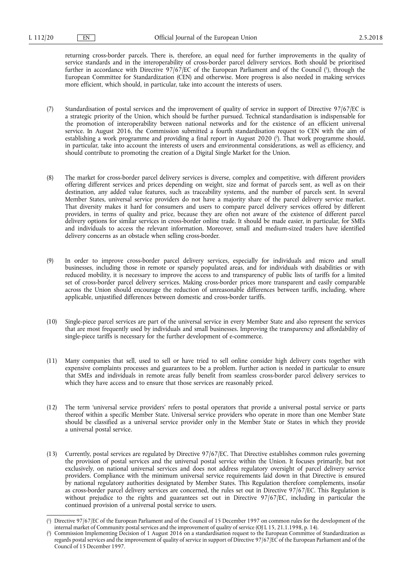returning cross-border parcels. There is, therefore, an equal need for further improvements in the quality of service standards and in the interoperability of cross-border parcel delivery services. Both should be prioritised further in accordance with Directive 97/67/EC of the European Parliament and of the Council ( 1 ), through the European Committee for Standardization (CEN) and otherwise. More progress is also needed in making services more efficient, which should, in particular, take into account the interests of users.

- (7) Standardisation of postal services and the improvement of quality of service in support of Directive 97/67/EC is a strategic priority of the Union, which should be further pursued. Technical standardisation is indispensable for the promotion of interoperability between national networks and for the existence of an efficient universal service. In August 2016, the Commission submitted a fourth standardisation request to CEN with the aim of establishing a work programme and providing a final report in August 2020 ( 2 ). That work programme should, in particular, take into account the interests of users and environmental considerations, as well as efficiency, and should contribute to promoting the creation of a Digital Single Market for the Union.
- (8) The market for cross-border parcel delivery services is diverse, complex and competitive, with different providers offering different services and prices depending on weight, size and format of parcels sent, as well as on their destination, any added value features, such as traceability systems, and the number of parcels sent. In several Member States, universal service providers do not have a majority share of the parcel delivery service market. That diversity makes it hard for consumers and users to compare parcel delivery services offered by different providers, in terms of quality and price, because they are often not aware of the existence of different parcel delivery options for similar services in cross-border online trade. It should be made easier, in particular, for SMEs and individuals to access the relevant information. Moreover, small and medium-sized traders have identified delivery concerns as an obstacle when selling cross-border.
- (9) In order to improve cross-border parcel delivery services, especially for individuals and micro and small businesses, including those in remote or sparsely populated areas, and for individuals with disabilities or with reduced mobility, it is necessary to improve the access to and transparency of public lists of tariffs for a limited set of cross-border parcel delivery services. Making cross-border prices more transparent and easily comparable across the Union should encourage the reduction of unreasonable differences between tariffs, including, where applicable, unjustified differences between domestic and cross-border tariffs.
- (10) Single-piece parcel services are part of the universal service in every Member State and also represent the services that are most frequently used by individuals and small businesses. Improving the transparency and affordability of single-piece tariffs is necessary for the further development of e-commerce.
- (11) Many companies that sell, used to sell or have tried to sell online consider high delivery costs together with expensive complaints processes and guarantees to be a problem. Further action is needed in particular to ensure that SMEs and individuals in remote areas fully benefit from seamless cross-border parcel delivery services to which they have access and to ensure that those services are reasonably priced.
- (12) The term 'universal service providers' refers to postal operators that provide a universal postal service or parts thereof within a specific Member State. Universal service providers who operate in more than one Member State should be classified as a universal service provider only in the Member State or States in which they provide a universal postal service.
- (13) Currently, postal services are regulated by Directive 97/67/EC. That Directive establishes common rules governing the provision of postal services and the universal postal service within the Union. It focuses primarily, but not exclusively, on national universal services and does not address regulatory oversight of parcel delivery service providers. Compliance with the minimum universal service requirements laid down in that Directive is ensured by national regulatory authorities designated by Member States. This Regulation therefore complements, insofar as cross-border parcel delivery services are concerned, the rules set out in Directive 97/67/EC. This Regulation is without prejudice to the rights and guarantees set out in Directive 97/67/EC, including in particular the continued provision of a universal postal service to users.

<sup>(</sup> 1 ) Directive 97/67/EC of the European Parliament and of the Council of 15 December 1997 on common rules for the development of the internal market of Community postal services and the improvement of quality of service (OJ L 15, 21.1.1998, p. 14).

<sup>(</sup> 2 ) Commission Implementing Decision of 1 August 2016 on a standardisation request to the European Committee of Standardization as regards postal services and the improvement of quality of service in support of Directive 97/67/EC of the European Parliament and of the Council of 15 December 1997.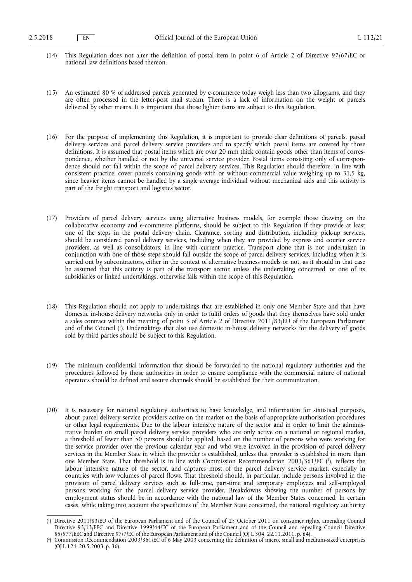- (14) This Regulation does not alter the definition of postal item in point 6 of Article 2 of Directive 97/67/EC or national law definitions based thereon.
- (15) An estimated 80 % of addressed parcels generated by e-commerce today weigh less than two kilograms, and they are often processed in the letter-post mail stream. There is a lack of information on the weight of parcels delivered by other means. It is important that those lighter items are subject to this Regulation.
- (16) For the purpose of implementing this Regulation, it is important to provide clear definitions of parcels, parcel delivery services and parcel delivery service providers and to specify which postal items are covered by those definitions. It is assumed that postal items which are over 20 mm thick contain goods other than items of correspondence, whether handled or not by the universal service provider. Postal items consisting only of correspondence should not fall within the scope of parcel delivery services. This Regulation should therefore, in line with consistent practice, cover parcels containing goods with or without commercial value weighing up to 31,5 kg, since heavier items cannot be handled by a single average individual without mechanical aids and this activity is part of the freight transport and logistics sector.
- (17) Providers of parcel delivery services using alternative business models, for example those drawing on the collaborative economy and e-commerce platforms, should be subject to this Regulation if they provide at least one of the steps in the postal delivery chain. Clearance, sorting and distribution, including pick-up services, should be considered parcel delivery services, including when they are provided by express and courier service providers, as well as consolidators, in line with current practice. Transport alone that is not undertaken in conjunction with one of those steps should fall outside the scope of parcel delivery services, including when it is carried out by subcontractors, either in the context of alternative business models or not, as it should in that case be assumed that this activity is part of the transport sector, unless the undertaking concerned, or one of its subsidiaries or linked undertakings, otherwise falls within the scope of this Regulation.
- (18) This Regulation should not apply to undertakings that are established in only one Member State and that have domestic in-house delivery networks only in order to fulfil orders of goods that they themselves have sold under a sales contract within the meaning of point 5 of Article 2 of Directive 2011/83/EU of the European Parliament and of the Council ( 1 ). Undertakings that also use domestic in-house delivery networks for the delivery of goods sold by third parties should be subject to this Regulation.
- (19) The minimum confidential information that should be forwarded to the national regulatory authorities and the procedures followed by those authorities in order to ensure compliance with the commercial nature of national operators should be defined and secure channels should be established for their communication.
- (20) It is necessary for national regulatory authorities to have knowledge, and information for statistical purposes, about parcel delivery service providers active on the market on the basis of appropriate authorisation procedures or other legal requirements. Due to the labour intensive nature of the sector and in order to limit the administrative burden on small parcel delivery service providers who are only active on a national or regional market, a threshold of fewer than 50 persons should be applied, based on the number of persons who were working for the service provider over the previous calendar year and who were involved in the provision of parcel delivery services in the Member State in which the provider is established, unless that provider is established in more than one Member State. That threshold is in line with Commission Recommendation 2003/361/EC ( 2 ), reflects the labour intensive nature of the sector, and captures most of the parcel delivery service market, especially in countries with low volumes of parcel flows. That threshold should, in particular, include persons involved in the provision of parcel delivery services such as full-time, part-time and temporary employees and self-employed persons working for the parcel delivery service provider. Breakdowns showing the number of persons by employment status should be in accordance with the national law of the Member States concerned. In certain cases, while taking into account the specificities of the Member State concerned, the national regulatory authority

<sup>(</sup> 1 ) Directive 2011/83/EU of the European Parliament and of the Council of 25 October 2011 on consumer rights, amending Council Directive 93/13/EEC and Directive 1999/44/EC of the European Parliament and of the Council and repealing Council Directive 85/577/EEC and Directive 97/7/EC of the European Parliament and of the Council (OJ L 304, 22.11.2011, p. 64).

<sup>(</sup> 2 ) Commission Recommendation 2003/361/EC of 6 May 2003 concerning the definition of micro, small and medium-sized enterprises (OJ L 124, 20.5.2003, p. 36).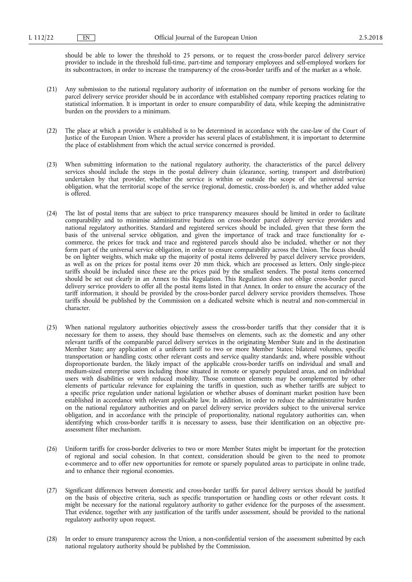should be able to lower the threshold to 25 persons, or to request the cross-border parcel delivery service provider to include in the threshold full-time, part-time and temporary employees and self-employed workers for its subcontractors, in order to increase the transparency of the cross-border tariffs and of the market as a whole.

- (21) Any submission to the national regulatory authority of information on the number of persons working for the parcel delivery service provider should be in accordance with established company reporting practices relating to statistical information. It is important in order to ensure comparability of data, while keeping the administrative burden on the providers to a minimum.
- (22) The place at which a provider is established is to be determined in accordance with the case-law of the Court of Justice of the European Union. Where a provider has several places of establishment, it is important to determine the place of establishment from which the actual service concerned is provided.
- (23) When submitting information to the national regulatory authority, the characteristics of the parcel delivery services should include the steps in the postal delivery chain (clearance, sorting, transport and distribution) undertaken by that provider, whether the service is within or outside the scope of the universal service obligation, what the territorial scope of the service (regional, domestic, cross-border) is, and whether added value is offered.
- (24) The list of postal items that are subject to price transparency measures should be limited in order to facilitate comparability and to minimise administrative burdens on cross-border parcel delivery service providers and national regulatory authorities. Standard and registered services should be included, given that these form the basis of the universal service obligation, and given the importance of track and trace functionality for ecommerce, the prices for track and trace and registered parcels should also be included, whether or not they form part of the universal service obligation, in order to ensure comparability across the Union. The focus should be on lighter weights, which make up the majority of postal items delivered by parcel delivery service providers, as well as on the prices for postal items over 20 mm thick, which are processed as letters. Only single-piece tariffs should be included since these are the prices paid by the smallest senders. The postal items concerned should be set out clearly in an Annex to this Regulation. This Regulation does not oblige cross-border parcel delivery service providers to offer all the postal items listed in that Annex. In order to ensure the accuracy of the tariff information, it should be provided by the cross-border parcel delivery service providers themselves. Those tariffs should be published by the Commission on a dedicated website which is neutral and non-commercial in character.
- (25) When national regulatory authorities objectively assess the cross-border tariffs that they consider that it is necessary for them to assess, they should base themselves on elements, such as: the domestic and any other relevant tariffs of the comparable parcel delivery services in the originating Member State and in the destination Member State; any application of a uniform tariff to two or more Member States; bilateral volumes, specific transportation or handling costs; other relevant costs and service quality standards; and, where possible without disproportionate burden, the likely impact of the applicable cross-border tariffs on individual and small and medium-sized enterprise users including those situated in remote or sparsely populated areas, and on individual users with disabilities or with reduced mobility. Those common elements may be complemented by other elements of particular relevance for explaining the tariffs in question, such as whether tariffs are subject to a specific price regulation under national legislation or whether abuses of dominant market position have been established in accordance with relevant applicable law. In addition, in order to reduce the administrative burden on the national regulatory authorities and on parcel delivery service providers subject to the universal service obligation, and in accordance with the principle of proportionality, national regulatory authorities can, when identifying which cross-border tariffs it is necessary to assess, base their identification on an objective preassessment filter mechanism.
- (26) Uniform tariffs for cross-border deliveries to two or more Member States might be important for the protection of regional and social cohesion. In that context, consideration should be given to the need to promote e-commerce and to offer new opportunities for remote or sparsely populated areas to participate in online trade, and to enhance their regional economies.
- (27) Significant differences between domestic and cross-border tariffs for parcel delivery services should be justified on the basis of objective criteria, such as specific transportation or handling costs or other relevant costs. It might be necessary for the national regulatory authority to gather evidence for the purposes of the assessment. That evidence, together with any justification of the tariffs under assessment, should be provided to the national regulatory authority upon request.
- (28) In order to ensure transparency across the Union, a non-confidential version of the assessment submitted by each national regulatory authority should be published by the Commission.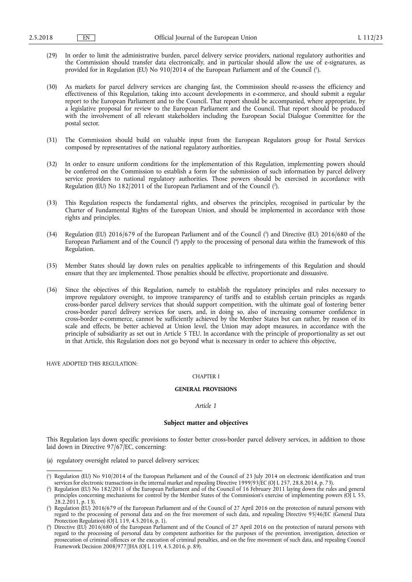- (29) In order to limit the administrative burden, parcel delivery service providers, national regulatory authorities and the Commission should transfer data electronically, and in particular should allow the use of e-signatures, as provided for in Regulation (EU) No 910/2014 of the European Parliament and of the Council (').
- (30) As markets for parcel delivery services are changing fast, the Commission should re-assess the efficiency and effectiveness of this Regulation, taking into account developments in e-commerce, and should submit a regular report to the European Parliament and to the Council. That report should be accompanied, where appropriate, by a legislative proposal for review to the European Parliament and the Council. That report should be produced with the involvement of all relevant stakeholders including the European Social Dialogue Committee for the postal sector.
- (31) The Commission should build on valuable input from the European Regulators group for Postal Services composed by representatives of the national regulatory authorities.
- (32) In order to ensure uniform conditions for the implementation of this Regulation, implementing powers should be conferred on the Commission to establish a form for the submission of such information by parcel delivery service providers to national regulatory authorities. Those powers should be exercised in accordance with Regulation (EU) No 182/2011 of the European Parliament and of the Council ( 2 ).
- (33) This Regulation respects the fundamental rights, and observes the principles, recognised in particular by the Charter of Fundamental Rights of the European Union, and should be implemented in accordance with those rights and principles.
- (34) Regulation (EU)  $2016/679$  of the European Parliament and of the Council ( $^3$ ) and Directive (EU)  $2016/680$  of the European Parliament and of the Council ( 4 ) apply to the processing of personal data within the framework of this Regulation.
- (35) Member States should lay down rules on penalties applicable to infringements of this Regulation and should ensure that they are implemented. Those penalties should be effective, proportionate and dissuasive.
- (36) Since the objectives of this Regulation, namely to establish the regulatory principles and rules necessary to improve regulatory oversight, to improve transparency of tariffs and to establish certain principles as regards cross-border parcel delivery services that should support competition, with the ultimate goal of fostering better cross-border parcel delivery services for users, and, in doing so, also of increasing consumer confidence in cross-border e-commerce, cannot be sufficiently achieved by the Member States but can rather, by reason of its scale and effects, be better achieved at Union level, the Union may adopt measures, in accordance with the principle of subsidiarity as set out in Article 5 TEU. In accordance with the principle of proportionality as set out in that Article, this Regulation does not go beyond what is necessary in order to achieve this objective,

HAVE ADOPTED THIS REGULATION:

## CHAPTER I

### **GENERAL PROVISIONS**

### *Article 1*

### **Subject matter and objectives**

This Regulation lays down specific provisions to foster better cross-border parcel delivery services, in addition to those laid down in Directive 97/67/EC, concerning:

(a) regulatory oversight related to parcel delivery services;

<sup>(</sup> 1 ) Regulation (EU) No 910/2014 of the European Parliament and of the Council of 23 July 2014 on electronic identification and trust services for electronic transactions in the internal market and repealing Directive 1999/93/EC (OJ L 257, 28.8.2014, p. 73).

<sup>(</sup> 2 ) Regulation (EU) No 182/2011 of the European Parliament and of the Council of 16 February 2011 laying down the rules and general principles concerning mechanisms for control by the Member States of the Commission's exercise of implementing powers (OJ L 55,  $28.2.\overline{2011}$ , p. 13).

<sup>(</sup> 3 ) Regulation (EU) 2016/679 of the European Parliament and of the Council of 27 April 2016 on the protection of natural persons with regard to the processing of personal data and on the free movement of such data, and repealing Directive 95/46/EC (General Data Protection Regulation) (OJ L 119, 4.5.2016, p. 1).

<sup>(</sup> 4 ) Directive (EU) 2016/680 of the European Parliament and of the Council of 27 April 2016 on the protection of natural persons with regard to the processing of personal data by competent authorities for the purposes of the prevention, investigation, detection or prosecution of criminal offences or the execution of criminal penalties, and on the free movement of such data, and repealing Council Framework Decision 2008/977/JHA (OJ L 119, 4.5.2016, p. 89).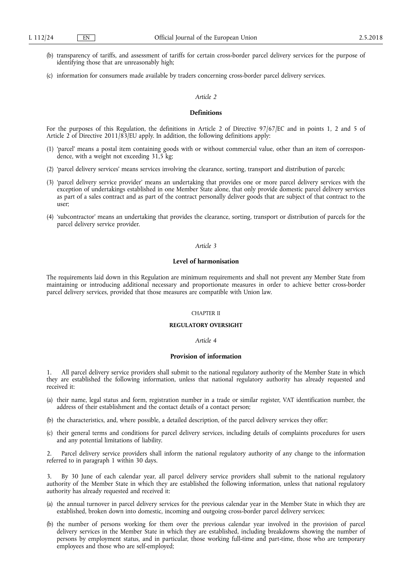- (b) transparency of tariffs, and assessment of tariffs for certain cross-border parcel delivery services for the purpose of identifying those that are unreasonably high;
- (c) information for consumers made available by traders concerning cross-border parcel delivery services.

### *Article 2*

### **Definitions**

For the purposes of this Regulation, the definitions in Article 2 of Directive 97/67/EC and in points 1, 2 and 5 of Article 2 of Directive 2011/83/EU apply. In addition, the following definitions apply:

- (1) 'parcel' means a postal item containing goods with or without commercial value, other than an item of correspondence, with a weight not exceeding 31,5 kg;
- (2) 'parcel delivery services' means services involving the clearance, sorting, transport and distribution of parcels;
- (3) 'parcel delivery service provider' means an undertaking that provides one or more parcel delivery services with the exception of undertakings established in one Member State alone, that only provide domestic parcel delivery services as part of a sales contract and as part of the contract personally deliver goods that are subject of that contract to the user;
- (4) 'subcontractor' means an undertaking that provides the clearance, sorting, transport or distribution of parcels for the parcel delivery service provider.

# *Article 3*

### **Level of harmonisation**

The requirements laid down in this Regulation are minimum requirements and shall not prevent any Member State from maintaining or introducing additional necessary and proportionate measures in order to achieve better cross-border parcel delivery services, provided that those measures are compatible with Union law.

# CHAPTER II

#### **REGULATORY OVERSIGHT**

#### *Article 4*

#### **Provision of information**

1. All parcel delivery service providers shall submit to the national regulatory authority of the Member State in which they are established the following information, unless that national regulatory authority has already requested and received it:

- (a) their name, legal status and form, registration number in a trade or similar register, VAT identification number, the address of their establishment and the contact details of a contact person;
- (b) the characteristics, and, where possible, a detailed description, of the parcel delivery services they offer;
- (c) their general terms and conditions for parcel delivery services, including details of complaints procedures for users and any potential limitations of liability.

2. Parcel delivery service providers shall inform the national regulatory authority of any change to the information referred to in paragraph 1 within 30 days.

3. By 30 June of each calendar year, all parcel delivery service providers shall submit to the national regulatory authority of the Member State in which they are established the following information, unless that national regulatory authority has already requested and received it:

- (a) the annual turnover in parcel delivery services for the previous calendar year in the Member State in which they are established, broken down into domestic, incoming and outgoing cross-border parcel delivery services;
- (b) the number of persons working for them over the previous calendar year involved in the provision of parcel delivery services in the Member State in which they are established, including breakdowns showing the number of persons by employment status, and in particular, those working full-time and part-time, those who are temporary employees and those who are self-employed;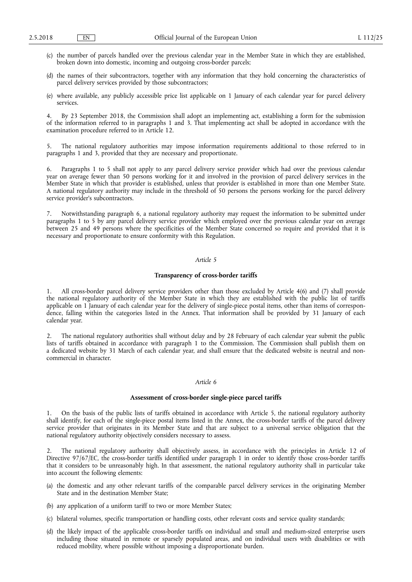- (c) the number of parcels handled over the previous calendar year in the Member State in which they are established, broken down into domestic, incoming and outgoing cross-border parcels;
- (d) the names of their subcontractors, together with any information that they hold concerning the characteristics of parcel delivery services provided by those subcontractors;
- (e) where available, any publicly accessible price list applicable on 1 January of each calendar year for parcel delivery services.

4. By 23 September 2018, the Commission shall adopt an implementing act, establishing a form for the submission of the information referred to in paragraphs 1 and 3. That implementing act shall be adopted in accordance with the examination procedure referred to in Article 12.

5. The national regulatory authorities may impose information requirements additional to those referred to in paragraphs 1 and 3, provided that they are necessary and proportionate.

6. Paragraphs 1 to 5 shall not apply to any parcel delivery service provider which had over the previous calendar year on average fewer than 50 persons working for it and involved in the provision of parcel delivery services in the Member State in which that provider is established, unless that provider is established in more than one Member State. A national regulatory authority may include in the threshold of 50 persons the persons working for the parcel delivery service provider's subcontractors.

7. Notwithstanding paragraph 6, a national regulatory authority may request the information to be submitted under paragraphs 1 to 5 by any parcel delivery service provider which employed over the previous calendar year on average between 25 and 49 persons where the specificities of the Member State concerned so require and provided that it is necessary and proportionate to ensure conformity with this Regulation.

# *Article 5*

# **Transparency of cross-border tariffs**

1. All cross-border parcel delivery service providers other than those excluded by Article 4(6) and (7) shall provide the national regulatory authority of the Member State in which they are established with the public list of tariffs applicable on 1 January of each calendar year for the delivery of single-piece postal items, other than items of correspondence, falling within the categories listed in the Annex. That information shall be provided by 31 January of each calendar year.

The national regulatory authorities shall without delay and by 28 February of each calendar year submit the public lists of tariffs obtained in accordance with paragraph 1 to the Commission. The Commission shall publish them on a dedicated website by 31 March of each calendar year, and shall ensure that the dedicated website is neutral and noncommercial in character.

## *Article 6*

#### **Assessment of cross-border single-piece parcel tariffs**

1. On the basis of the public lists of tariffs obtained in accordance with Article 5, the national regulatory authority shall identify, for each of the single-piece postal items listed in the Annex, the cross-border tariffs of the parcel delivery service provider that originates in its Member State and that are subject to a universal service obligation that the national regulatory authority objectively considers necessary to assess.

2. The national regulatory authority shall objectively assess, in accordance with the principles in Article 12 of Directive 97/67/EC, the cross-border tariffs identified under paragraph 1 in order to identify those cross-border tariffs that it considers to be unreasonably high. In that assessment, the national regulatory authority shall in particular take into account the following elements:

- (a) the domestic and any other relevant tariffs of the comparable parcel delivery services in the originating Member State and in the destination Member State;
- (b) any application of a uniform tariff to two or more Member States;
- (c) bilateral volumes, specific transportation or handling costs, other relevant costs and service quality standards;
- (d) the likely impact of the applicable cross-border tariffs on individual and small and medium-sized enterprise users including those situated in remote or sparsely populated areas, and on individual users with disabilities or with reduced mobility, where possible without imposing a disproportionate burden.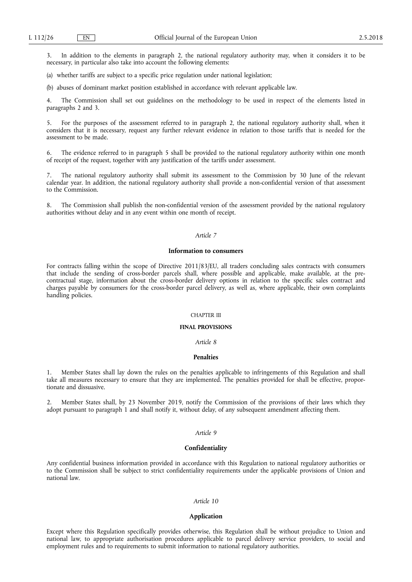3. In addition to the elements in paragraph 2, the national regulatory authority may, when it considers it to be necessary, in particular also take into account the following elements:

(a) whether tariffs are subject to a specific price regulation under national legislation;

(b) abuses of dominant market position established in accordance with relevant applicable law.

4. The Commission shall set out guidelines on the methodology to be used in respect of the elements listed in paragraphs 2 and 3.

5. For the purposes of the assessment referred to in paragraph 2, the national regulatory authority shall, when it considers that it is necessary, request any further relevant evidence in relation to those tariffs that is needed for the assessment to be made.

6. The evidence referred to in paragraph 5 shall be provided to the national regulatory authority within one month of receipt of the request, together with any justification of the tariffs under assessment.

7. The national regulatory authority shall submit its assessment to the Commission by 30 June of the relevant calendar year. In addition, the national regulatory authority shall provide a non-confidential version of that assessment to the Commission.

8. The Commission shall publish the non-confidential version of the assessment provided by the national regulatory authorities without delay and in any event within one month of receipt.

### *Article 7*

### **Information to consumers**

For contracts falling within the scope of Directive 2011/83/EU, all traders concluding sales contracts with consumers that include the sending of cross-border parcels shall, where possible and applicable, make available, at the precontractual stage, information about the cross-border delivery options in relation to the specific sales contract and charges payable by consumers for the cross-border parcel delivery, as well as, where applicable, their own complaints handling policies.

## CHAPTER III

### **FINAL PROVISIONS**

# *Article 8*

### **Penalties**

1. Member States shall lay down the rules on the penalties applicable to infringements of this Regulation and shall take all measures necessary to ensure that they are implemented. The penalties provided for shall be effective, proportionate and dissuasive.

2. Member States shall, by 23 November 2019, notify the Commission of the provisions of their laws which they adopt pursuant to paragraph 1 and shall notify it, without delay, of any subsequent amendment affecting them.

#### *Article 9*

#### **Confidentiality**

Any confidential business information provided in accordance with this Regulation to national regulatory authorities or to the Commission shall be subject to strict confidentiality requirements under the applicable provisions of Union and national law.

#### *Article 10*

### **Application**

Except where this Regulation specifically provides otherwise, this Regulation shall be without prejudice to Union and national law, to appropriate authorisation procedures applicable to parcel delivery service providers, to social and employment rules and to requirements to submit information to national regulatory authorities.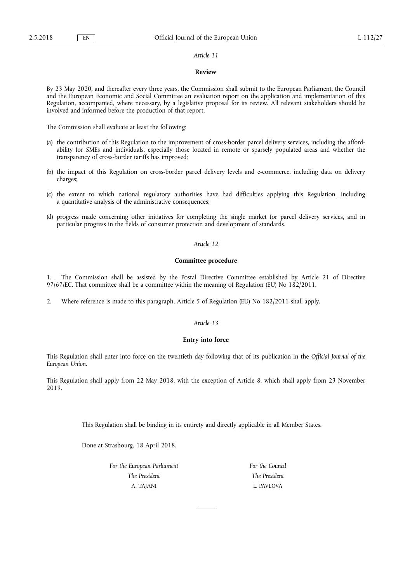#### *Article 11*

## **Review**

By 23 May 2020, and thereafter every three years, the Commission shall submit to the European Parliament, the Council and the European Economic and Social Committee an evaluation report on the application and implementation of this Regulation, accompanied, where necessary, by a legislative proposal for its review. All relevant stakeholders should be involved and informed before the production of that report.

The Commission shall evaluate at least the following:

- (a) the contribution of this Regulation to the improvement of cross-border parcel delivery services, including the affordability for SMEs and individuals, especially those located in remote or sparsely populated areas and whether the transparency of cross-border tariffs has improved;
- (b) the impact of this Regulation on cross-border parcel delivery levels and e-commerce, including data on delivery charges;
- (c) the extent to which national regulatory authorities have had difficulties applying this Regulation, including a quantitative analysis of the administrative consequences;
- (d) progress made concerning other initiatives for completing the single market for parcel delivery services, and in particular progress in the fields of consumer protection and development of standards.

# *Article 12*

## **Committee procedure**

1. The Commission shall be assisted by the Postal Directive Committee established by Article 21 of Directive 97/67/EC. That committee shall be a committee within the meaning of Regulation (EU) No 182/2011.

2. Where reference is made to this paragraph, Article 5 of Regulation (EU) No 182/2011 shall apply.

### *Article 13*

### **Entry into force**

This Regulation shall enter into force on the twentieth day following that of its publication in the *Official Journal of the European Union*.

This Regulation shall apply from 22 May 2018, with the exception of Article 8, which shall apply from 23 November 2019.

This Regulation shall be binding in its entirety and directly applicable in all Member States.

Done at Strasbourg, 18 April 2018.

*For the European Parliament The President*  A. TAJANI

*For the Council The President*  L. PAVLOVA